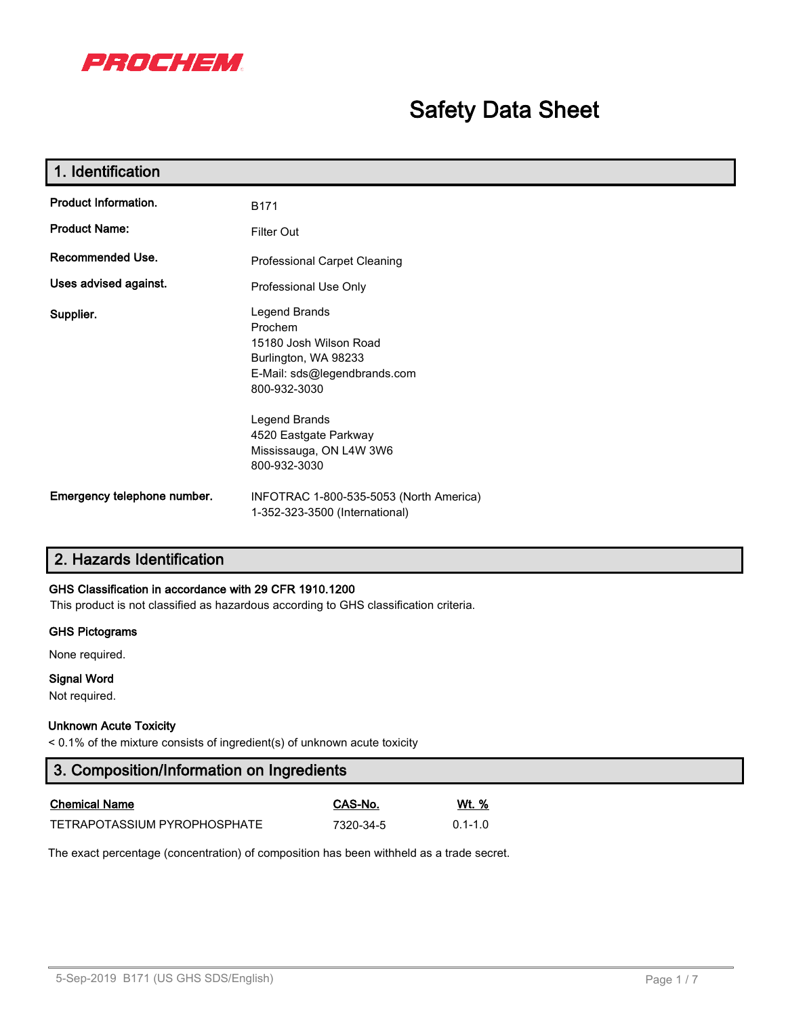

# **Safety Data Sheet**

| 1. Identification           |                                                                                                                            |  |  |  |
|-----------------------------|----------------------------------------------------------------------------------------------------------------------------|--|--|--|
| <b>Product Information.</b> | <b>B171</b>                                                                                                                |  |  |  |
| <b>Product Name:</b>        | Filter Out                                                                                                                 |  |  |  |
| Recommended Use.            | <b>Professional Carpet Cleaning</b>                                                                                        |  |  |  |
| Uses advised against.       | Professional Use Only                                                                                                      |  |  |  |
| Supplier.                   | Legend Brands<br>Prochem<br>15180 Josh Wilson Road<br>Burlington, WA 98233<br>E-Mail: sds@legendbrands.com<br>800-932-3030 |  |  |  |
|                             | Legend Brands<br>4520 Eastgate Parkway<br>Mississauga, ON L4W 3W6<br>800-932-3030                                          |  |  |  |
| Emergency telephone number. | INFOTRAC 1-800-535-5053 (North America)<br>1-352-323-3500 (International)                                                  |  |  |  |

# **2. Hazards Identification**

## **GHS Classification in accordance with 29 CFR 1910.1200**

This product is not classified as hazardous according to GHS classification criteria.

#### **GHS Pictograms**

None required.

# **Signal Word**

Not required.

#### **Unknown Acute Toxicity**

< 0.1% of the mixture consists of ingredient(s) of unknown acute toxicity

# **3. Composition/Information on Ingredients**

| <b>Chemical Name</b>         | CAS-No.   | Wt. %       |
|------------------------------|-----------|-------------|
| TETRAPOTASSIUM PYROPHOSPHATE | 7320-34-5 | $0.1 - 1.0$ |

The exact percentage (concentration) of composition has been withheld as a trade secret.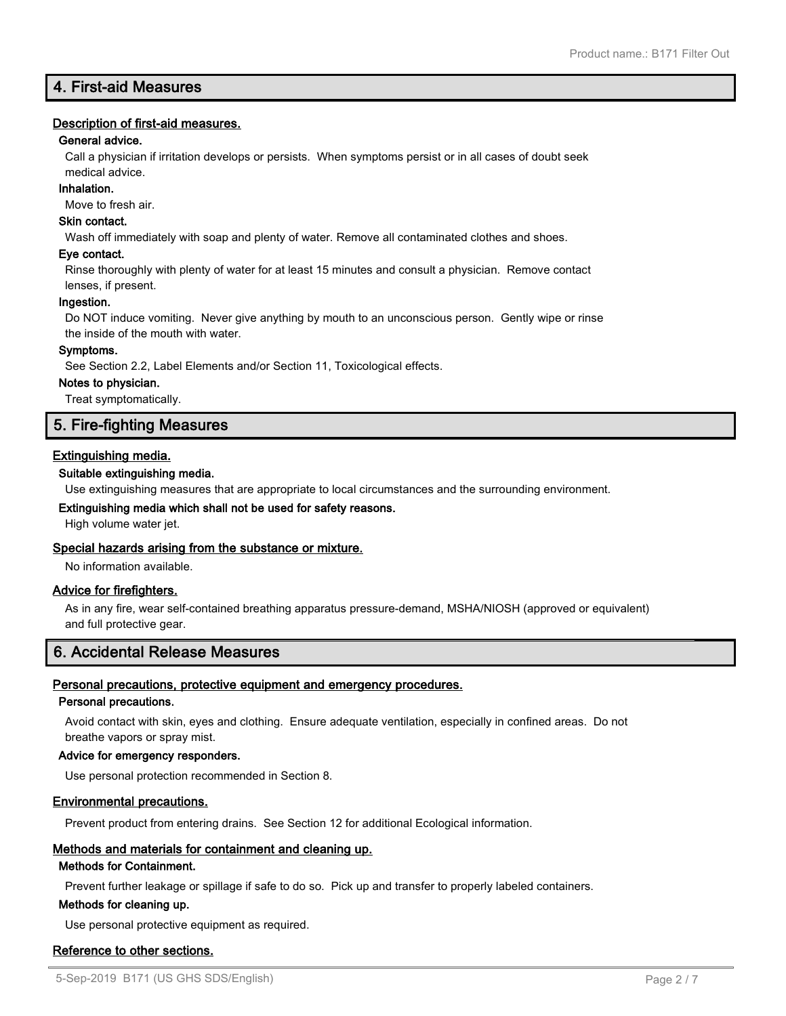# **4. First-aid Measures**

# **Description of first-aid measures.**

## **General advice.**

Call a physician if irritation develops or persists. When symptoms persist or in all cases of doubt seek medical advice.

#### **Inhalation.**

Move to fresh air.

# **Skin contact.**

Wash off immediately with soap and plenty of water. Remove all contaminated clothes and shoes.

#### **Eye contact.**

Rinse thoroughly with plenty of water for at least 15 minutes and consult a physician. Remove contact lenses, if present.

#### **Ingestion.**

Do NOT induce vomiting. Never give anything by mouth to an unconscious person. Gently wipe or rinse the inside of the mouth with water.

#### **Symptoms.**

See Section 2.2, Label Elements and/or Section 11, Toxicological effects.

#### **Notes to physician.**

Treat symptomatically.

# **5. Fire-fighting Measures**

# **Extinguishing media.**

# **Suitable extinguishing media.**

Use extinguishing measures that are appropriate to local circumstances and the surrounding environment.

## **Extinguishing media which shall not be used for safety reasons.**

High volume water jet.

# **Special hazards arising from the substance or mixture.**

No information available.

# **Advice for firefighters.**

As in any fire, wear self-contained breathing apparatus pressure-demand, MSHA/NIOSH (approved or equivalent) and full protective gear.

# **6. Accidental Release Measures**

# **Personal precautions, protective equipment and emergency procedures.**

#### **Personal precautions.**

Avoid contact with skin, eyes and clothing. Ensure adequate ventilation, especially in confined areas. Do not breathe vapors or spray mist.

# **Advice for emergency responders.**

Use personal protection recommended in Section 8.

# **Environmental precautions.**

Prevent product from entering drains. See Section 12 for additional Ecological information.

# **Methods and materials for containment and cleaning up.**

#### **Methods for Containment.**

Prevent further leakage or spillage if safe to do so. Pick up and transfer to properly labeled containers.

#### **Methods for cleaning up.**

Use personal protective equipment as required.

# **Reference to other sections.**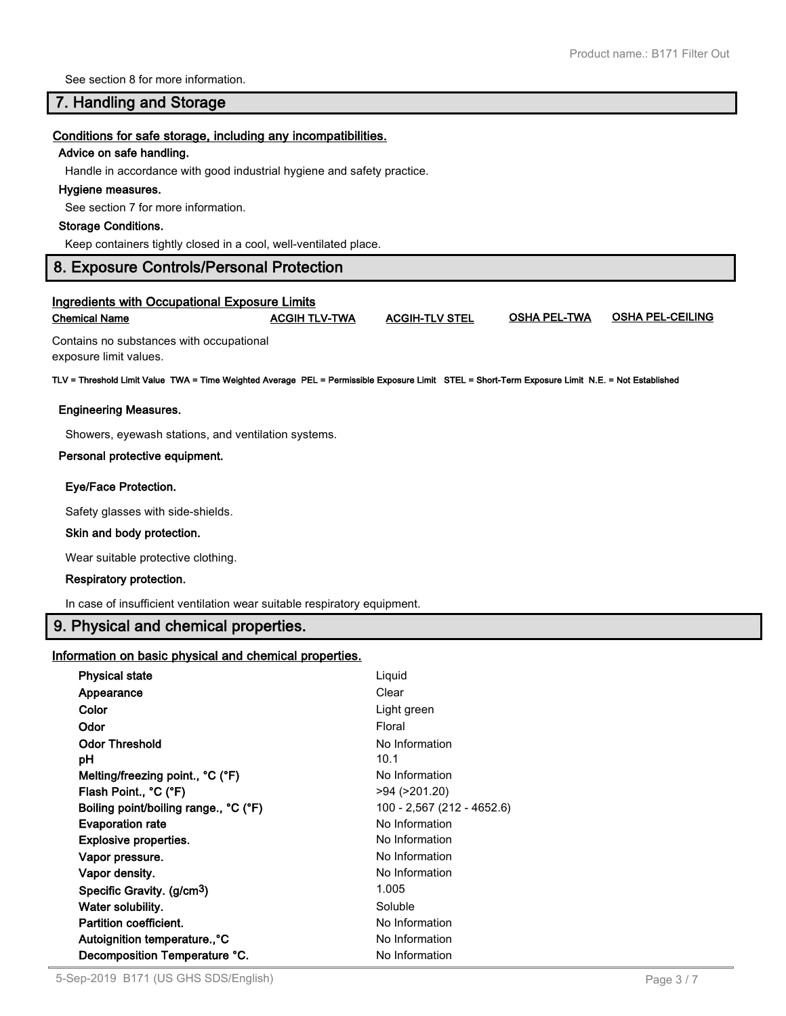See section 8 for more information.

# **7. Handling and Storage**

#### **Conditions for safe storage, including any incompatibilities.**

#### **Advice on safe handling.**

Handle in accordance with good industrial hygiene and safety practice.

#### **Hygiene measures.**

See section 7 for more information.

#### **Storage Conditions.**

Keep containers tightly closed in a cool, well-ventilated place.

# **8. Exposure Controls/Personal Protection**

## **Ingredients with Occupational Exposure Limits Chemical Name ACGIH TLV-TWA ACGIH-TLV STEL OSHA PEL-TWA OSHA PEL-CEILING**

Contains no substances with occupational exposure limit values.

**TLV = Threshold Limit Value TWA = Time Weighted Average PEL = Permissible Exposure Limit STEL = Short-Term Exposure Limit N.E. = Not Established**

#### **Engineering Measures.**

Showers, eyewash stations, and ventilation systems.

#### **Personal protective equipment.**

#### **Eye/Face Protection.**

Safety glasses with side-shields.

#### **Skin and body protection.**

Wear suitable protective clothing.

#### **Respiratory protection.**

In case of insufficient ventilation wear suitable respiratory equipment.

# **9. Physical and chemical properties.**

# **Information on basic physical and chemical properties.**

| <b>Physical state</b>                  | Liquid                     |
|----------------------------------------|----------------------------|
| Appearance                             | Clear                      |
| Color                                  | Light green                |
| Odor                                   | Floral                     |
| <b>Odor Threshold</b>                  | No Information             |
| рH                                     | 10.1                       |
| Melting/freezing point., °C (°F)       | No Information             |
| Flash Point., °C (°F)                  | >94 (>201.20)              |
| Boiling point/boiling range., °C (°F)  | 100 - 2,567 (212 - 4652.6) |
| <b>Evaporation rate</b>                | No Information             |
| <b>Explosive properties.</b>           | No Information             |
| Vapor pressure.                        | No Information             |
| Vapor density.                         | No Information             |
| Specific Gravity. (g/cm <sup>3</sup> ) | 1.005                      |
| Water solubility.                      | Soluble                    |
| <b>Partition coefficient.</b>          | No Information             |
| Autoignition temperature°C             | No Information             |
| Decomposition Temperature °C.          | No Information             |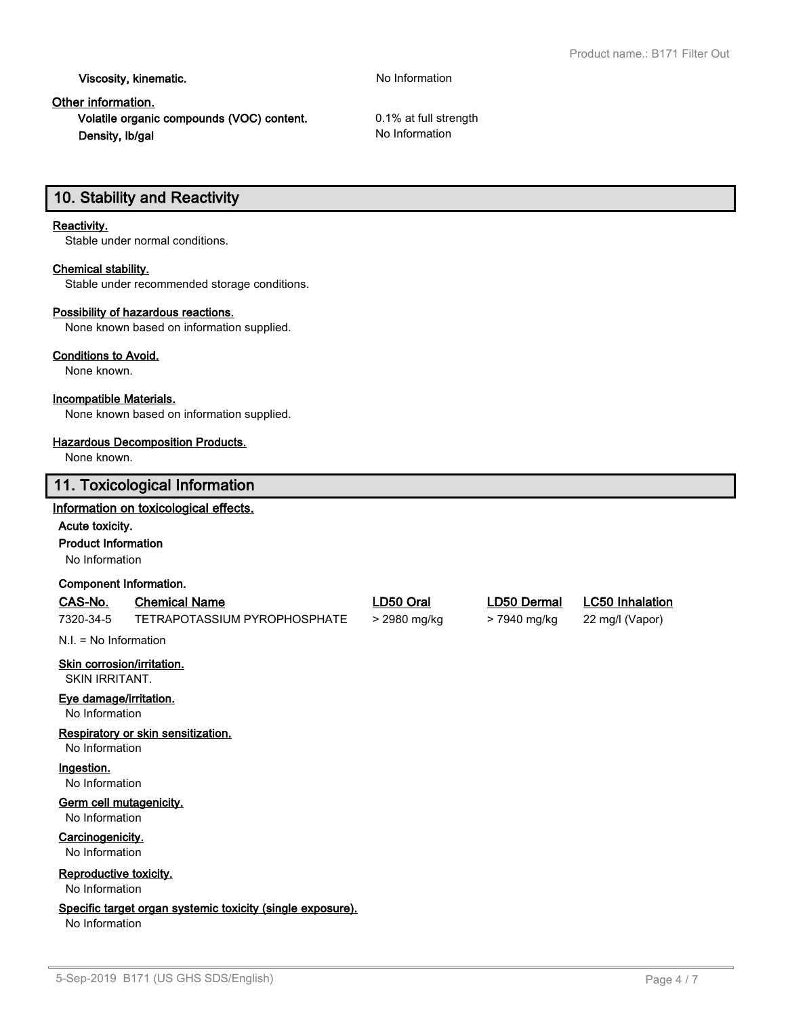**Viscosity, kinematic.** No Information

# **Other information.**

**Volatile organic compounds (VOC) content.** 0.1% at full strength **Density, lb/gal** No Information

# **10. Stability and Reactivity**

# **Reactivity.**

Stable under normal conditions.

# **Chemical stability.**

Stable under recommended storage conditions.

# **Possibility of hazardous reactions.**

None known based on information supplied.

#### **Conditions to Avoid.**

None known.

# **Incompatible Materials.**

None known based on information supplied.

#### **Hazardous Decomposition Products.**

None known.

# **11. Toxicological Information**

# **Information on toxicological effects.**

**Acute toxicity.**

**Product Information**

No Information

#### **Component Information.**

## **CAS-No. Chemical Name LD50 Oral LD50 Dermal LC50 Inhalation**

7320-34-5 TETRAPOTASSIUM PYROPHOSPHATE > 2980 mg/kg > 7940 mg/kg 22 mg/l (Vapor)

N.I. = No Information

# **Skin corrosion/irritation.**

SKIN IRRITANT.

# **Eye damage/irritation.**

No Information

# **Respiratory or skin sensitization.**

No Information

# **Ingestion.**

No Information

# **Germ cell mutagenicity.**

No Information

# **Carcinogenicity.**

No Information

# **Reproductive toxicity.**

No Information

# **Specific target organ systemic toxicity (single exposure).**

No Information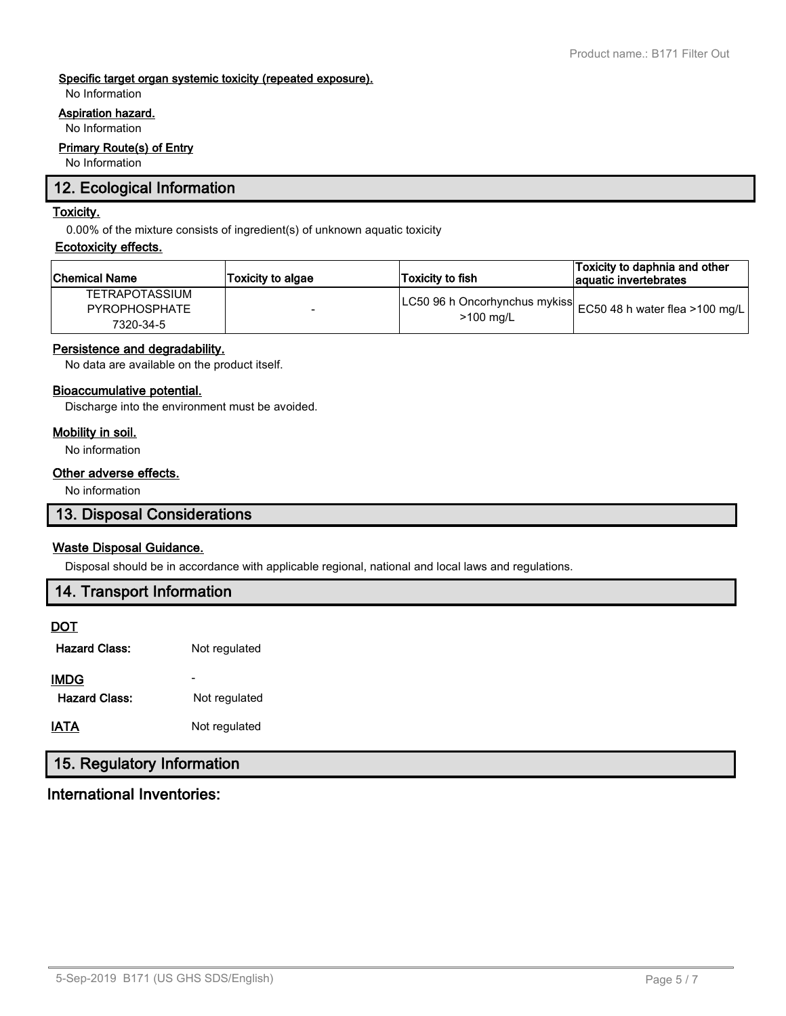# **Specific target organ systemic toxicity (repeated exposure).**

No Information

# **Aspiration hazard.**

No Information

# **Primary Route(s) of Entry**

No Information

# **12. Ecological Information**

# **Toxicity.**

0.00% of the mixture consists of ingredient(s) of unknown aquatic toxicity

#### **Ecotoxicity effects.**

| ∣Chemical Name                                             | <b>Toxicity to algae</b> | Toxicity to fish | Toxicity to daphnia and other<br>aquatic invertebrates           |
|------------------------------------------------------------|--------------------------|------------------|------------------------------------------------------------------|
| <b>TETRAPOTASSIUM</b><br><b>PYROPHOSPHATE</b><br>7320-34-5 |                          | $>100$ mg/L      | LC50 96 h Oncorhynchus mykiss <br>EC50 48 h water flea >100 mg/l |

# **Persistence and degradability.**

No data are available on the product itself.

# **Bioaccumulative potential.**

Discharge into the environment must be avoided.

## **Mobility in soil.**

No information

# **Other adverse effects.**

No information

# **13. Disposal Considerations**

# **Waste Disposal Guidance.**

Disposal should be in accordance with applicable regional, national and local laws and regulations.

# **14. Transport Information**

# **DOT**

Hazard Class: Not regulated

| <b>IMDG</b><br><b>Hazard Class:</b> | Not regulated |
|-------------------------------------|---------------|
| <b>IATA</b>                         | Not regulated |

# **15. Regulatory Information**

# **International Inventories:**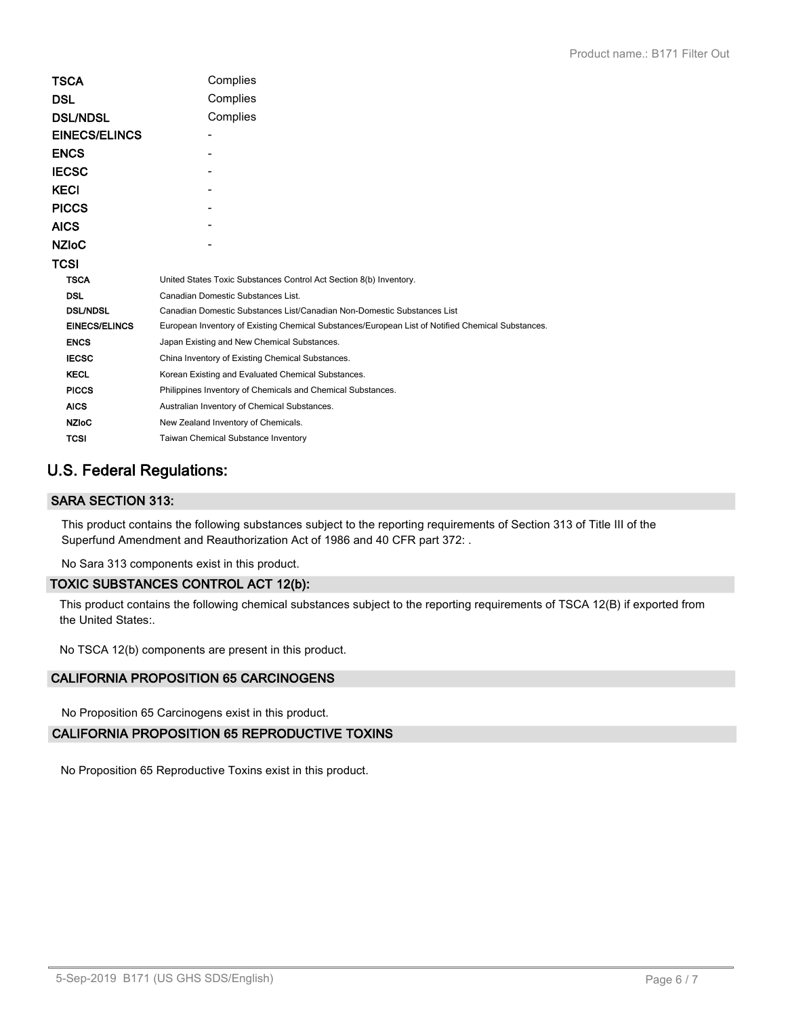| TSCA                 | Complies                                                                                          |  |  |
|----------------------|---------------------------------------------------------------------------------------------------|--|--|
|                      |                                                                                                   |  |  |
| DSL                  | Complies                                                                                          |  |  |
| <b>DSL/NDSL</b>      | Complies                                                                                          |  |  |
| <b>EINECS/ELINCS</b> |                                                                                                   |  |  |
| ENCS                 |                                                                                                   |  |  |
| IECSC                |                                                                                                   |  |  |
| KECI                 |                                                                                                   |  |  |
| PICCS                |                                                                                                   |  |  |
| AICS                 |                                                                                                   |  |  |
| NZIoC                |                                                                                                   |  |  |
| TCSI                 |                                                                                                   |  |  |
| <b>TSCA</b>          | United States Toxic Substances Control Act Section 8(b) Inventory.                                |  |  |
| <b>DSL</b>           | Canadian Domestic Substances List.                                                                |  |  |
| <b>DSL/NDSL</b>      | Canadian Domestic Substances List/Canadian Non-Domestic Substances List                           |  |  |
| <b>EINECS/ELINCS</b> | European Inventory of Existing Chemical Substances/European List of Notified Chemical Substances. |  |  |
| <b>ENCS</b>          | Japan Existing and New Chemical Substances.                                                       |  |  |
| <b>IECSC</b>         | China Inventory of Existing Chemical Substances.                                                  |  |  |
| <b>KECL</b>          | Korean Existing and Evaluated Chemical Substances.                                                |  |  |
| <b>PICCS</b>         | Philippines Inventory of Chemicals and Chemical Substances.                                       |  |  |
| <b>AICS</b>          | Australian Inventory of Chemical Substances.                                                      |  |  |
| <b>NZIoC</b>         | New Zealand Inventory of Chemicals.                                                               |  |  |
| <b>TCSI</b>          | Taiwan Chemical Substance Inventory                                                               |  |  |
|                      |                                                                                                   |  |  |

# **U.S. Federal Regulations:**

# **SARA SECTION 313:**

This product contains the following substances subject to the reporting requirements of Section 313 of Title III of the Superfund Amendment and Reauthorization Act of 1986 and 40 CFR part 372: .

No Sara 313 components exist in this product.

# **TOXIC SUBSTANCES CONTROL ACT 12(b):**

This product contains the following chemical substances subject to the reporting requirements of TSCA 12(B) if exported from the United States:.

No TSCA 12(b) components are present in this product.

# **CALIFORNIA PROPOSITION 65 CARCINOGENS**

No Proposition 65 Carcinogens exist in this product.

# **CALIFORNIA PROPOSITION 65 REPRODUCTIVE TOXINS**

No Proposition 65 Reproductive Toxins exist in this product.